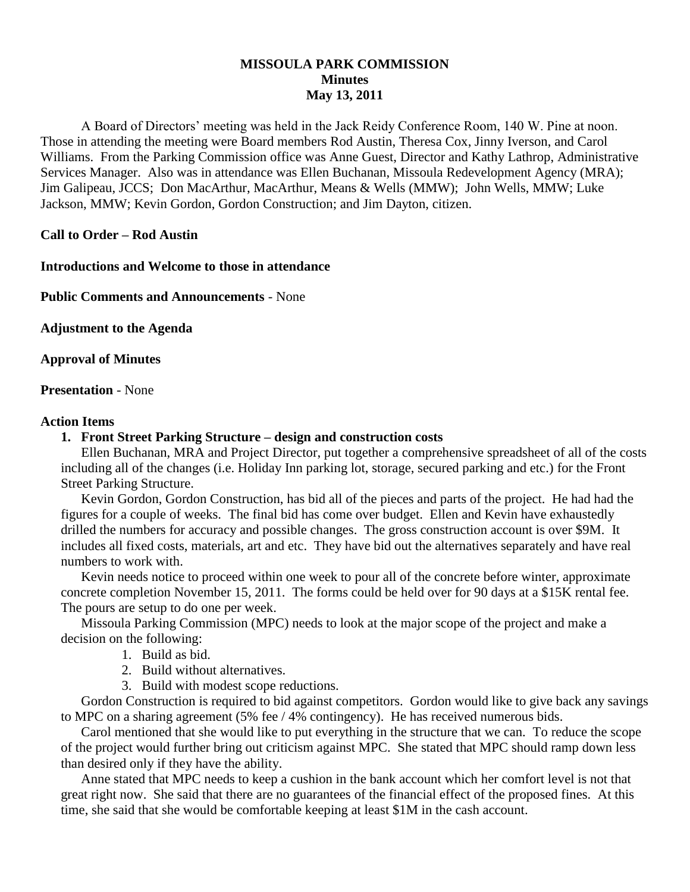# **MISSOULA PARK COMMISSION Minutes May 13, 2011**

A Board of Directors' meeting was held in the Jack Reidy Conference Room, 140 W. Pine at noon. Those in attending the meeting were Board members Rod Austin, Theresa Cox, Jinny Iverson, and Carol Williams. From the Parking Commission office was Anne Guest, Director and Kathy Lathrop, Administrative Services Manager. Also was in attendance was Ellen Buchanan, Missoula Redevelopment Agency (MRA); Jim Galipeau, JCCS; Don MacArthur, MacArthur, Means & Wells (MMW); John Wells, MMW; Luke Jackson, MMW; Kevin Gordon, Gordon Construction; and Jim Dayton, citizen.

## **Call to Order – Rod Austin**

## **Introductions and Welcome to those in attendance**

**Public Comments and Announcements** - None

**Adjustment to the Agenda**

**Approval of Minutes**

**Presentation** - None

## **Action Items**

# **1. Front Street Parking Structure – design and construction costs**

Ellen Buchanan, MRA and Project Director, put together a comprehensive spreadsheet of all of the costs including all of the changes (i.e. Holiday Inn parking lot, storage, secured parking and etc.) for the Front Street Parking Structure.

Kevin Gordon, Gordon Construction, has bid all of the pieces and parts of the project. He had had the figures for a couple of weeks. The final bid has come over budget. Ellen and Kevin have exhaustedly drilled the numbers for accuracy and possible changes. The gross construction account is over \$9M. It includes all fixed costs, materials, art and etc. They have bid out the alternatives separately and have real numbers to work with.

Kevin needs notice to proceed within one week to pour all of the concrete before winter, approximate concrete completion November 15, 2011. The forms could be held over for 90 days at a \$15K rental fee. The pours are setup to do one per week.

Missoula Parking Commission (MPC) needs to look at the major scope of the project and make a decision on the following:

- 1. Build as bid.
- 2. Build without alternatives.
- 3. Build with modest scope reductions.

Gordon Construction is required to bid against competitors. Gordon would like to give back any savings to MPC on a sharing agreement (5% fee / 4% contingency). He has received numerous bids.

Carol mentioned that she would like to put everything in the structure that we can. To reduce the scope of the project would further bring out criticism against MPC. She stated that MPC should ramp down less than desired only if they have the ability.

Anne stated that MPC needs to keep a cushion in the bank account which her comfort level is not that great right now. She said that there are no guarantees of the financial effect of the proposed fines. At this time, she said that she would be comfortable keeping at least \$1M in the cash account.